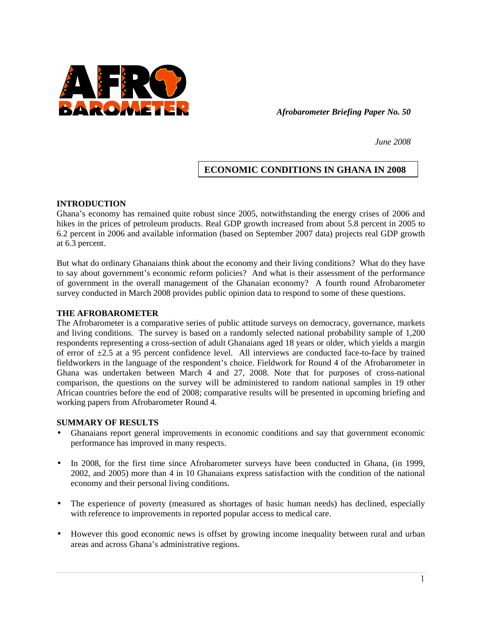

*Afrobarometer Briefing Paper No. 50* 

*June 2008* 

# **ECONOMIC CONDITIONS IN GHANA IN 2008**

### **INTRODUCTION**

Ghana's economy has remained quite robust since 2005, notwithstanding the energy crises of 2006 and hikes in the prices of petroleum products. Real GDP growth increased from about 5.8 percent in 2005 to 6.2 percent in 2006 and available information (based on September 2007 data) projects real GDP growth at 6.3 percent.

But what do ordinary Ghanaians think about the economy and their living conditions? What do they have to say about government's economic reform policies? And what is their assessment of the performance of government in the overall management of the Ghanaian economy? A fourth round Afrobarometer survey conducted in March 2008 provides public opinion data to respond to some of these questions.

### **THE AFROBAROMETER**

The Afrobarometer is a comparative series of public attitude surveys on democracy, governance, markets and living conditions. The survey is based on a randomly selected national probability sample of 1,200 respondents representing a cross-section of adult Ghanaians aged 18 years or older, which yields a margin of error of  $\pm 2.5$  at a 95 percent confidence level. All interviews are conducted face-to-face by trained fieldworkers in the language of the respondent's choice. Fieldwork for Round 4 of the Afrobarometer in Ghana was undertaken between March 4 and 27, 2008. Note that for purposes of cross-national comparison, the questions on the survey will be administered to random national samples in 19 other African countries before the end of 2008; comparative results will be presented in upcoming briefing and working papers from Afrobarometer Round 4.

#### **SUMMARY OF RESULTS**

- Ghanaians report general improvements in economic conditions and say that government economic performance has improved in many respects.
- In 2008, for the first time since Afrobarometer surveys have been conducted in Ghana, (in 1999, 2002, and 2005) more than 4 in 10 Ghanaians express satisfaction with the condition of the national economy and their personal living conditions.
- The experience of poverty (measured as shortages of basic human needs) has declined, especially with reference to improvements in reported popular access to medical care.
- However this good economic news is offset by growing income inequality between rural and urban areas and across Ghana's administrative regions.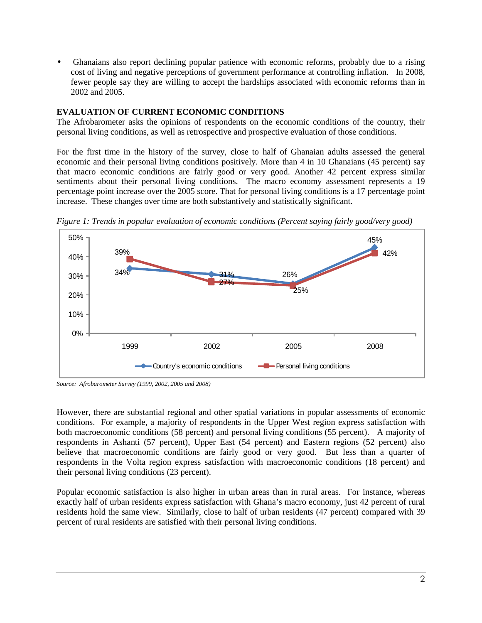• Ghanaians also report declining popular patience with economic reforms, probably due to a rising cost of living and negative perceptions of government performance at controlling inflation. In 2008, fewer people say they are willing to accept the hardships associated with economic reforms than in 2002 and 2005.

# **EVALUATION OF CURRENT ECONOMIC CONDITIONS**

The Afrobarometer asks the opinions of respondents on the economic conditions of the country, their personal living conditions, as well as retrospective and prospective evaluation of those conditions.

For the first time in the history of the survey, close to half of Ghanaian adults assessed the general economic and their personal living conditions positively. More than 4 in 10 Ghanaians (45 percent) say that macro economic conditions are fairly good or very good. Another 42 percent express similar sentiments about their personal living conditions. The macro economy assessment represents a 19 percentage point increase over the 2005 score. That for personal living conditions is a 17 percentage point increase. These changes over time are both substantively and statistically significant.



*Figure 1: Trends in popular evaluation of economic conditions (Percent saying fairly good/very good)* 

*Source: Afrobarometer Survey (1999, 2002, 2005 and 2008)*

However, there are substantial regional and other spatial variations in popular assessments of economic conditions. For example, a majority of respondents in the Upper West region express satisfaction with both macroeconomic conditions (58 percent) and personal living conditions (55 percent). A majority of respondents in Ashanti (57 percent), Upper East (54 percent) and Eastern regions (52 percent) also believe that macroeconomic conditions are fairly good or very good. But less than a quarter of respondents in the Volta region express satisfaction with macroeconomic conditions (18 percent) and their personal living conditions (23 percent).

Popular economic satisfaction is also higher in urban areas than in rural areas. For instance, whereas exactly half of urban residents express satisfaction with Ghana's macro economy, just 42 percent of rural residents hold the same view. Similarly, close to half of urban residents (47 percent) compared with 39 percent of rural residents are satisfied with their personal living conditions.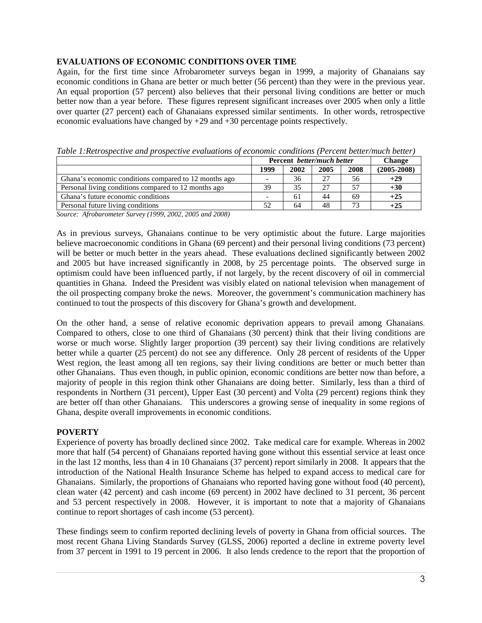# **EVALUATIONS OF ECONOMIC CONDITIONS OVER TIME**

Again, for the first time since Afrobarometer surveys began in 1999, a majority of Ghanaians say economic conditions in Ghana are better or much better (56 percent) than they were in the previous year. An equal proportion (57 percent) also believes that their personal living conditions are better or much better now than a year before. These figures represent significant increases over 2005 when only a little over quarter (27 percent) each of Ghanaians expressed similar sentiments. In other words, retrospective economic evaluations have changed by +29 and +30 percentage points respectively.

|                                                       | Percent better/much better   |      |      |      | <b>Change</b>   |
|-------------------------------------------------------|------------------------------|------|------|------|-----------------|
|                                                       | 1999                         | 2002 | 2005 | 2008 | $(2005 - 2008)$ |
| Ghana's economic conditions compared to 12 months ago | $\qquad \qquad \blacksquare$ | 36   | 27   | 56   | $+29$           |
| Personal living conditions compared to 12 months ago  | 39                           | 35   | 27   | 57   | $+30$           |
| Ghana's future economic conditions                    | $\overline{\phantom{a}}$     | 61   | 44   | 69   | $+25$           |
| Personal future living conditions                     | 52                           | 64   | 48   | 73   | $+25$           |

*Table 1:Retrospective and prospective evaluations of economic conditions (Percent better/much better)* 

*Source: Afrobarometer Survey (1999, 2002, 2005 and 2008)* 

As in previous surveys, Ghanaians continue to be very optimistic about the future. Large majorities believe macroeconomic conditions in Ghana (69 percent) and their personal living conditions (73 percent) will be better or much better in the years ahead. These evaluations declined significantly between 2002 and 2005 but have increased significantly in 2008, by 25 percentage points. The observed surge in optimism could have been influenced partly, if not largely, by the recent discovery of oil in commercial quantities in Ghana. Indeed the President was visibly elated on national television when management of the oil prospecting company broke the news. Moreover, the government's communication machinery has continued to tout the prospects of this discovery for Ghana's growth and development.

On the other hand, a sense of relative economic deprivation appears to prevail among Ghanaians. Compared to others, close to one third of Ghanaians (30 percent) think that their living conditions are worse or much worse. Slightly larger proportion (39 percent) say their living conditions are relatively better while a quarter (25 percent) do not see any difference. Only 28 percent of residents of the Upper West region, the least among all ten regions, say their living conditions are better or much better than other Ghanaians. Thus even though, in public opinion, economic conditions are better now than before, a majority of people in this region think other Ghanaians are doing better. Similarly, less than a third of respondents in Northern (31 percent), Upper East (30 percent) and Volta (29 percent) regions think they are better off than other Ghanaians. This underscores a growing sense of inequality in some regions of Ghana, despite overall improvements in economic conditions.

### **POVERTY**

Experience of poverty has broadly declined since 2002. Take medical care for example. Whereas in 2002 more that half (54 percent) of Ghanaians reported having gone without this essential service at least once in the last 12 months, less than 4 in 10 Ghanaians (37 percent) report similarly in 2008. It appears that the introduction of the National Health Insurance Scheme has helped to expand access to medical care for Ghanaians. Similarly, the proportions of Ghanaians who reported having gone without food (40 percent), clean water (42 percent) and cash income (69 percent) in 2002 have declined to 31 percent, 36 percent and 53 percent respectively in 2008. However, it is important to note that a majority of Ghanaians continue to report shortages of cash income (53 percent).

These findings seem to confirm reported declining levels of poverty in Ghana from official sources. The most recent Ghana Living Standards Survey (GLSS, 2006) reported a decline in extreme poverty level from 37 percent in 1991 to 19 percent in 2006. It also lends credence to the report that the proportion of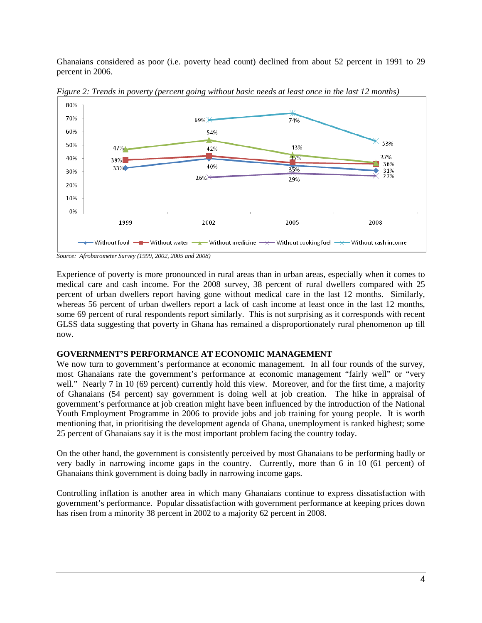Ghanaians considered as poor (i.e. poverty head count) declined from about 52 percent in 1991 to 29 percent in 2006.



*Figure 2: Trends in poverty (percent going without basic needs at least once in the last 12 months)* 

*Source: Afrobarometer Survey (1999, 2002, 2005 and 2008)* 

Experience of poverty is more pronounced in rural areas than in urban areas, especially when it comes to medical care and cash income. For the 2008 survey, 38 percent of rural dwellers compared with 25 percent of urban dwellers report having gone without medical care in the last 12 months. Similarly, whereas 56 percent of urban dwellers report a lack of cash income at least once in the last 12 months, some 69 percent of rural respondents report similarly. This is not surprising as it corresponds with recent GLSS data suggesting that poverty in Ghana has remained a disproportionately rural phenomenon up till now.

### **GOVERNMENT'S PERFORMANCE AT ECONOMIC MANAGEMENT**

We now turn to government's performance at economic management. In all four rounds of the survey, most Ghanaians rate the government's performance at economic management "fairly well" or "very well." Nearly 7 in 10 (69 percent) currently hold this view. Moreover, and for the first time, a majority of Ghanaians (54 percent) say government is doing well at job creation. The hike in appraisal of government's performance at job creation might have been influenced by the introduction of the National Youth Employment Programme in 2006 to provide jobs and job training for young people. It is worth mentioning that, in prioritising the development agenda of Ghana, unemployment is ranked highest; some 25 percent of Ghanaians say it is the most important problem facing the country today.

On the other hand, the government is consistently perceived by most Ghanaians to be performing badly or very badly in narrowing income gaps in the country. Currently, more than 6 in 10 (61 percent) of Ghanaians think government is doing badly in narrowing income gaps.

Controlling inflation is another area in which many Ghanaians continue to express dissatisfaction with government's performance. Popular dissatisfaction with government performance at keeping prices down has risen from a minority 38 percent in 2002 to a majority 62 percent in 2008.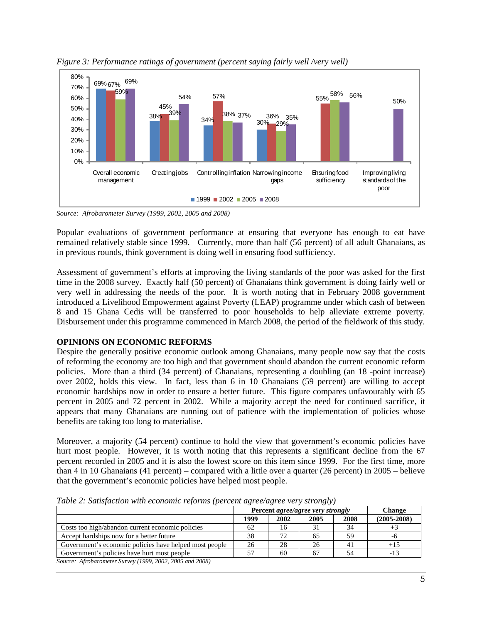

*Figure 3: Performance ratings of government (percent saying fairly well /very well)* 

*Source: Afrobarometer Survey (1999, 2002, 2005 and 2008)* 

Popular evaluations of government performance at ensuring that everyone has enough to eat have remained relatively stable since 1999. Currently, more than half (56 percent) of all adult Ghanaians, as in previous rounds, think government is doing well in ensuring food sufficiency.

Assessment of government's efforts at improving the living standards of the poor was asked for the first time in the 2008 survey. Exactly half (50 percent) of Ghanaians think government is doing fairly well or very well in addressing the needs of the poor. It is worth noting that in February 2008 government introduced a Livelihood Empowerment against Poverty (LEAP) programme under which cash of between 8 and 15 Ghana Cedis will be transferred to poor households to help alleviate extreme poverty. Disbursement under this programme commenced in March 2008, the period of the fieldwork of this study.

# **OPINIONS ON ECONOMIC REFORMS**

Despite the generally positive economic outlook among Ghanaians, many people now say that the costs of reforming the economy are too high and that government should abandon the current economic reform policies. More than a third (34 percent) of Ghanaians, representing a doubling (an 18 -point increase) over 2002, holds this view. In fact, less than 6 in 10 Ghanaians (59 percent) are willing to accept economic hardships now in order to ensure a better future. This figure compares unfavourably with 65 percent in 2005 and 72 percent in 2002. While a majority accept the need for continued sacrifice, it appears that many Ghanaians are running out of patience with the implementation of policies whose benefits are taking too long to materialise.

Moreover, a majority (54 percent) continue to hold the view that government's economic policies have hurt most people. However, it is worth noting that this represents a significant decline from the 67 percent recorded in 2005 and it is also the lowest score on this item since 1999. For the first time, more than 4 in 10 Ghanaians (41 percent) – compared with a little over a quarter (26 percent) in 2005 – believe that the government's economic policies have helped most people.

|                                                                     | Percent <i>agree/agree very strongly</i> |      |      |      | <b>Change</b>   |
|---------------------------------------------------------------------|------------------------------------------|------|------|------|-----------------|
|                                                                     | 1999                                     | 2002 | 2005 | 2008 | $(2005 - 2008)$ |
| Costs too high/abandon current economic policies                    | 62                                       | 16   |      | 34   |                 |
| Accept hardships now for a better future                            | 38                                       |      | 65   | 59   | -6              |
| Government's economic policies have helped most people              | 26                                       | 28   | 26   | 41   |                 |
| Government's policies have hurt most people                         |                                          | 60   | 67   | 54   |                 |
| $S_{\text{OMMA}}$ , Afraharamatar Suman (1000, 2002, 2005 and 2008) |                                          |      |      |      |                 |

*Table 2: Satisfaction with economic reforms (percent agree/agree very strongly)* 

*Source: Afrobarometer Survey (1999, 2002, 2005 and 2008)*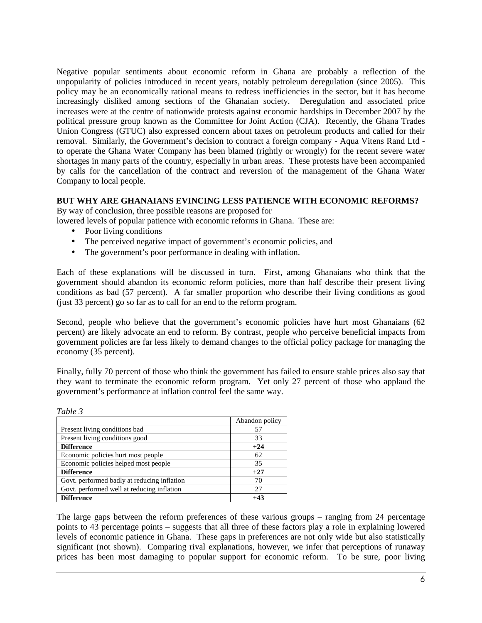Negative popular sentiments about economic reform in Ghana are probably a reflection of the unpopularity of policies introduced in recent years, notably petroleum deregulation (since 2005). This policy may be an economically rational means to redress inefficiencies in the sector, but it has become increasingly disliked among sections of the Ghanaian society. Deregulation and associated price increases were at the centre of nationwide protests against economic hardships in December 2007 by the political pressure group known as the Committee for Joint Action (CJA). Recently, the Ghana Trades Union Congress (GTUC) also expressed concern about taxes on petroleum products and called for their removal. Similarly, the Government's decision to contract a foreign company - Aqua Vitens Rand Ltd to operate the Ghana Water Company has been blamed (rightly or wrongly) for the recent severe water shortages in many parts of the country, especially in urban areas. These protests have been accompanied by calls for the cancellation of the contract and reversion of the management of the Ghana Water Company to local people.

# **BUT WHY ARE GHANAIANS EVINCING LESS PATIENCE WITH ECONOMIC REFORMS?**

By way of conclusion, three possible reasons are proposed for

lowered levels of popular patience with economic reforms in Ghana. These are:

- Poor living conditions
- The perceived negative impact of government's economic policies, and
- The government's poor performance in dealing with inflation.

Each of these explanations will be discussed in turn. First, among Ghanaians who think that the government should abandon its economic reform policies, more than half describe their present living conditions as bad (57 percent). A far smaller proportion who describe their living conditions as good (just 33 percent) go so far as to call for an end to the reform program.

Second, people who believe that the government's economic policies have hurt most Ghanaians (62 percent) are likely advocate an end to reform. By contrast, people who perceive beneficial impacts from government policies are far less likely to demand changes to the official policy package for managing the economy (35 percent).

Finally, fully 70 percent of those who think the government has failed to ensure stable prices also say that they want to terminate the economic reform program. Yet only 27 percent of those who applaud the government's performance at inflation control feel the same way.

| <i>Lavie S</i>                              |                |
|---------------------------------------------|----------------|
|                                             | Abandon policy |
| Present living conditions bad               | 57             |
| Present living conditions good              | 33             |
| <b>Difference</b>                           | $+24$          |
| Economic policies hurt most people          | 62             |
| Economic policies helped most people        | 35             |
| <b>Difference</b>                           | $+27$          |
| Govt. performed badly at reducing inflation | 70             |
| Govt. performed well at reducing inflation  | 27             |
| <b>Difference</b>                           | +43            |

The large gaps between the reform preferences of these various groups – ranging from 24 percentage points to 43 percentage points – suggests that all three of these factors play a role in explaining lowered levels of economic patience in Ghana. These gaps in preferences are not only wide but also statistically significant (not shown). Comparing rival explanations, however, we infer that perceptions of runaway prices has been most damaging to popular support for economic reform. To be sure, poor living

*Table 3*